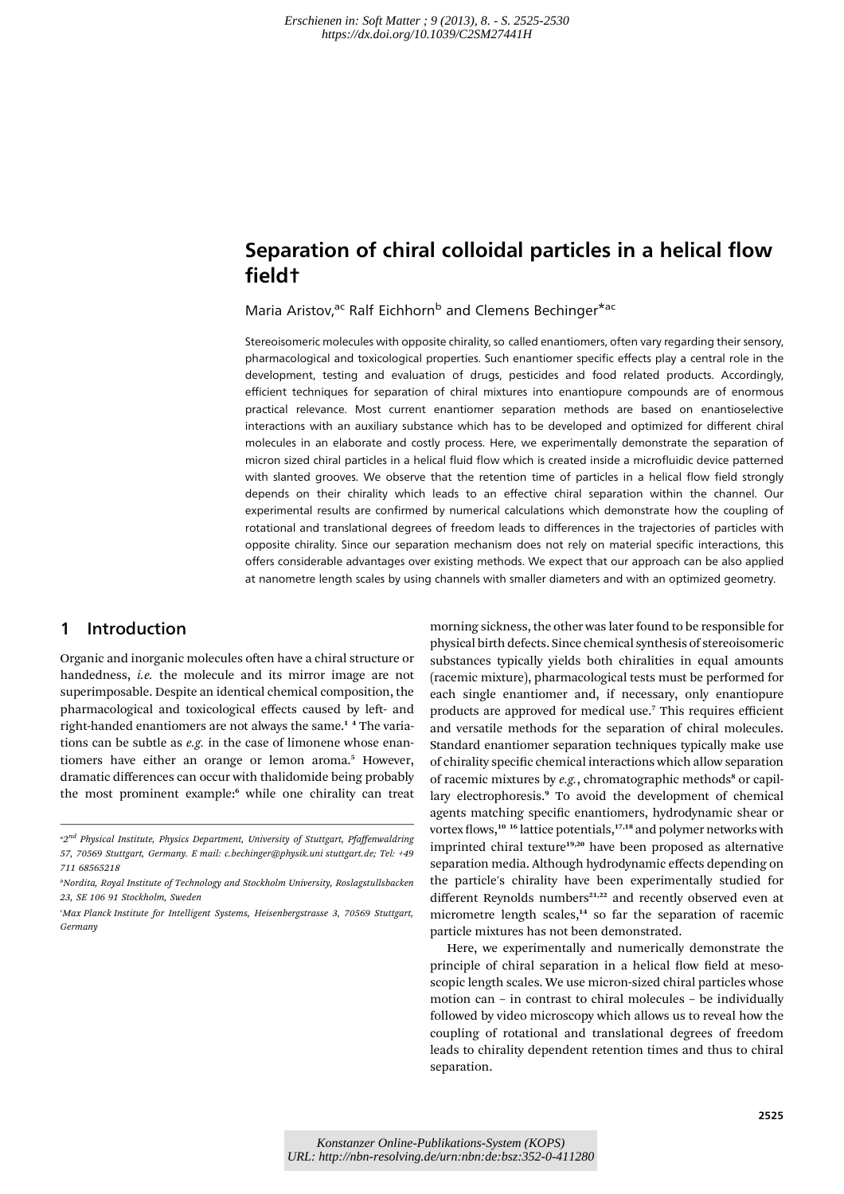# Separation of chiral colloidal particles in a helical flow field†

Maria Aristov,<sup>ac</sup> Ralf Eichhorn<sup>b</sup> and Clemens Bechinger<sup>\*ac</sup>

Stereoisomeric molecules with opposite chirality, so called enantiomers, often vary regarding their sensory, pharmacological and toxicological properties. Such enantiomer specific effects play a central role in the development, testing and evaluation of drugs, pesticides and food related products. Accordingly, efficient techniques for separation of chiral mixtures into enantiopure compounds are of enormous practical relevance. Most current enantiomer separation methods are based on enantioselective interactions with an auxiliary substance which has to be developed and optimized for different chiral molecules in an elaborate and costly process. Here, we experimentally demonstrate the separation of micron sized chiral particles in a helical fluid flow which is created inside a microfluidic device patterned with slanted grooves. We observe that the retention time of particles in a helical flow field strongly depends on their chirality which leads to an effective chiral separation within the channel. Our experimental results are confirmed by numerical calculations which demonstrate how the coupling of rotational and translational degrees of freedom leads to differences in the trajectories of particles with opposite chirality. Since our separation mechanism does not rely on material specific interactions, this offers considerable advantages over existing methods. We expect that our approach can be also applied at nanometre length scales by using channels with smaller diameters and with an optimized geometry.

### 1 Introduction

Organic and inorganic molecules often have a chiral structure or handedness, i.e. the molecule and its mirror image are not superimposable. Despite an identical chemical composition, the pharmacological and toxicological effects caused by left- and right-handed enantiomers are not always the same.<sup>14</sup> The variations can be subtle as  $e.g.$  in the case of limonene whose enantiomers have either an orange or lemon aroma.<sup>5</sup> However, dramatic differences can occur with thalidomide being probably the most prominent example:<sup>6</sup> while one chirality can treat

morning sickness, the other was later found to be responsible for physical birth defects. Since chemical synthesis of stereoisomeric substances typically yields both chiralities in equal amounts (racemic mixture), pharmacological tests must be performed for each single enantiomer and, if necessary, only enantiopure products are approved for medical use.<sup>7</sup> This requires efficient and versatile methods for the separation of chiral molecules. Standard enantiomer separation techniques typically make use of chirality specific chemical interactions which allow separation of racemic mixtures by  $e.g.,$  chromatographic methods<sup>8</sup> or capillary electrophoresis.<sup>9</sup> To avoid the development of chemical agents matching specific enantiomers, hydrodynamic shear or vortex flows,<sup>10</sup> <sup>16</sup> lattice potentials,<sup>17,18</sup> and polymer networks with imprinted chiral texture<sup>19,20</sup> have been proposed as alternative separation media. Although hydrodynamic effects depending on the particle's chirality have been experimentally studied for different Reynolds numbers<sup>21,22</sup> and recently observed even at micrometre length scales,<sup>14</sup> so far the separation of racemic particle mixtures has not been demonstrated.

Here, we experimentally and numerically demonstrate the principle of chiral separation in a helical flow field at mesoscopic length scales. We use micron-sized chiral particles whose motion can – in contrast to chiral molecules – be individually followed by video microscopy which allows us to reveal how the coupling of rotational and translational degrees of freedom leads to chirality dependent retention times and thus to chiral separation.

<sup>&</sup>lt;sup>a</sup>2<sup>nd</sup> Physical Institute, Physics Department, University of Stuttgart, Pfaffenwaldring 57, 70569 Stuttgart, Germany. E mail: c.bechinger@physik.uni stuttgart.de; Tel: +49 711 68565218

<sup>&</sup>lt;sup>b</sup>Nordita, Royal Institute of Technology and Stockholm University, Roslagstullsbacken 23, SE 106 91 Stockholm, Sweden

c Max Planck Institute for Intelligent Systems, Heisenbergstrasse 3, 70569 Stuttgart, Germany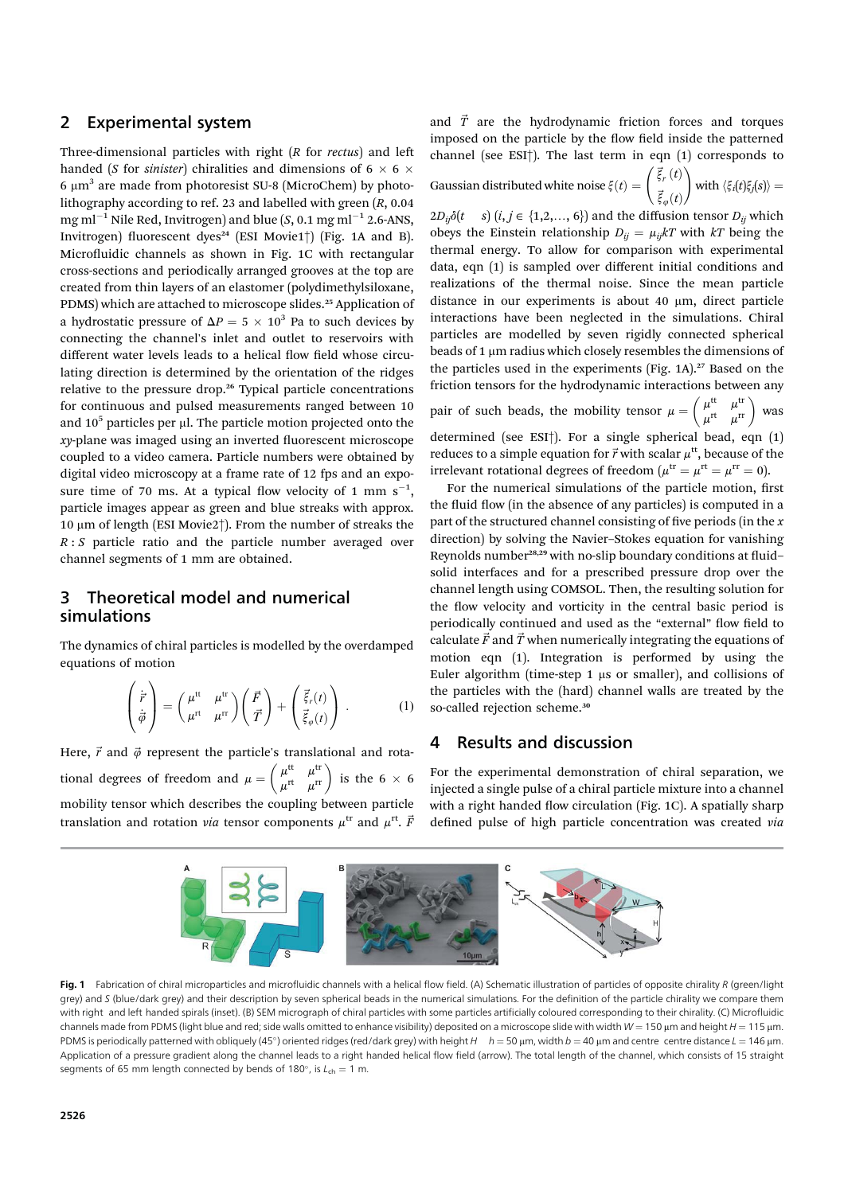#### 2 Experimental system

Three-dimensional particles with right  $(R$  for rectus) and left handed (*S* for *sinister*) chiralities and dimensions of 6  $\times$  6  $\times$ 6  $\mu$ m<sup>3</sup> are made from photoresist SU-8 (MicroChem) by photolithography according to ref. 23 and labelled with green (R, 0.04 mg ml<sup>-1</sup> Nile Red, Invitrogen) and blue  $(S, 0.1 \text{ mg ml}^{-1} 2.6$ -ANS, Invitrogen) fluorescent dyes<sup>24</sup> (ESI Movie1<sup>†</sup>) (Fig. 1A and B). Microfluidic channels as shown in Fig. 1C with rectangular cross-sections and periodically arranged grooves at the top are created from thin layers of an elastomer (polydimethylsiloxane, PDMS) which are attached to microscope slides.<sup>25</sup> Application of a hydrostatic pressure of  $\Delta P = 5 \times 10^3$  Pa to such devices by connecting the channel's inlet and outlet to reservoirs with different water levels leads to a helical flow field whose circulating direction is determined by the orientation of the ridges relative to the pressure drop.<sup>26</sup> Typical particle concentrations for continuous and pulsed measurements ranged between 10 and  $10<sup>5</sup>$  particles per µl. The particle motion projected onto the  $xy$ -plane was imaged using an inverted fluorescent microscope coupled to a video camera. Particle numbers were obtained by digital video microscopy at a frame rate of 12 fps and an exposure time of 70 ms. At a typical flow velocity of 1 mm  $s^{-1}$ , particle images appear as green and blue streaks with approx. 10  $\mu$ m of length (ESI Movie2 $\dagger$ ). From the number of streaks the  $R : S$  particle ratio and the particle number averaged over channel segments of 1 mm are obtained.

#### 3 Theoretical model and numerical simulations

The dynamics of chiral particles is modelled by the overdamped equations of motion

$$
\begin{pmatrix} \dot{\vec{r}} \\ \dot{\vec{\phi}} \end{pmatrix} = \begin{pmatrix} \mu^{\text{tt}} & \mu^{\text{tr}} \\ \mu^{\text{rt}} & \mu^{\text{tr}} \end{pmatrix} \begin{pmatrix} \vec{F} \\ \vec{T} \end{pmatrix} + \begin{pmatrix} \vec{\xi}_r(t) \\ \vec{\xi}_\varphi(t) \end{pmatrix} . \tag{1}
$$

Here,  $\vec{r}$  and  $\vec{\varphi}$  represent the particle's translational and rotational degrees of freedom and  $\mu = \begin{pmatrix} \mu^{\text{tt}} & \mu^{\text{tr}} \\ \mu^{\text{rt}} & \mu^{\text{tr}} \end{pmatrix}$  is the 6  $\times$  6 mobility tensor which describes the coupling between particle translation and rotation *via* tensor components  $\mu^{\text{tr}}$  and  $\mu^{\text{rt}}$ .  $\vec{F}$ 

and  $\vec{T}$  are the hydrodynamic friction forces and torques imposed on the particle by the flow field inside the patterned channel (see ESI†). The last term in eqn (1) corresponds to

Gaussian distributed white noise 
$$
\xi(t) = \begin{pmatrix} \vec{\xi}_r(t) \\ \vec{\xi}_\varphi(t) \end{pmatrix}
$$
 with  $\langle \xi_i(t)\xi_j(s) \rangle =$ 

 $2D_{ij}\delta(t \quad s)$   $(i, j \in \{1, 2, ..., 6\})$  and the diffusion tensor  $D_{ij}$  which obeys the Einstein relationship  $D_{ij} = \mu_{ij}kT$  with kT being the thermal energy. To allow for comparison with experimental data, eqn (1) is sampled over different initial conditions and realizations of the thermal noise. Since the mean particle distance in our experiments is about 40  $\mu$ m, direct particle interactions have been neglected in the simulations. Chiral particles are modelled by seven rigidly connected spherical beads of  $1 \mu m$  radius which closely resembles the dimensions of the particles used in the experiments (Fig. 1A).<sup>27</sup> Based on the friction tensors for the hydrodynamic interactions between any pair of such beads, the mobility tensor  $\mu = \begin{pmatrix} \mu^{\text{tt}} & \mu^{\text{tr}} \\ \mu^{\text{rt}} & \mu^{\text{rr}} \end{pmatrix}$  was determined (see ESI†). For a single spherical bead, eqn (1) reduces to a simple equation for  $\vec{r}$  with scalar  $\mu^{\text{tt}}$ , because of the irrelevant rotational degrees of freedom ( $\mu^{\text{tr}} = \mu^{\text{rt}} = \mu^{\text{rr}} = 0$ ).

For the numerical simulations of the particle motion, first the fluid flow (in the absence of any particles) is computed in a part of the structured channel consisting of five periods (in the  $x$ direction) by solving the Navier–Stokes equation for vanishing Reynolds number<sup>28,29</sup> with no-slip boundary conditions at fluidsolid interfaces and for a prescribed pressure drop over the channel length using COMSOL. Then, the resulting solution for the flow velocity and vorticity in the central basic period is periodically continued and used as the "external" flow field to calculate  $\vec{F}$  and  $\vec{T}$  when numerically integrating the equations of motion eqn (1). Integration is performed by using the Euler algorithm (time-step  $1 \mu s$  or smaller), and collisions of the particles with the (hard) channel walls are treated by the so-called rejection scheme.<sup>30</sup>

## 4 Results and discussion

For the experimental demonstration of chiral separation, we injected a single pulse of a chiral particle mixture into a channel with a right handed flow circulation (Fig. 1C). A spatially sharp defined pulse of high particle concentration was created via



Fig. 1 Fabrication of chiral microparticles and microfluidic channels with a helical flow field. (A) Schematic illustration of particles of opposite chirality R (green/light grey) and S (blue/dark grey) and their description by seven spherical beads in the numerical simulations. For the definition of the particle chirality we compare them with right and left handed spirals (inset). (B) SEM micrograph of chiral particles with some particles artificially coloured corresponding to their chirality. (C) Microfluidic channels made from PDMS (light blue and red; side walls omitted to enhance visibility) deposited on a microscope slide with width W = 150 µm and height H = 115 µm. PDMS is periodically patterned with obliquely (45°) oriented ridges (red/dark grey) with height  $H$   $h = 50 \mu m$ , width  $b = 40 \mu m$  and centre centre distance  $L = 146 \mu m$ . Application of a pressure gradient along the channel leads to a right handed helical flow field (arrow). The total length of the channel, which consists of 15 straight segments of 65 mm length connected by bends of 180°, is  $L_{ch} = 1$  m.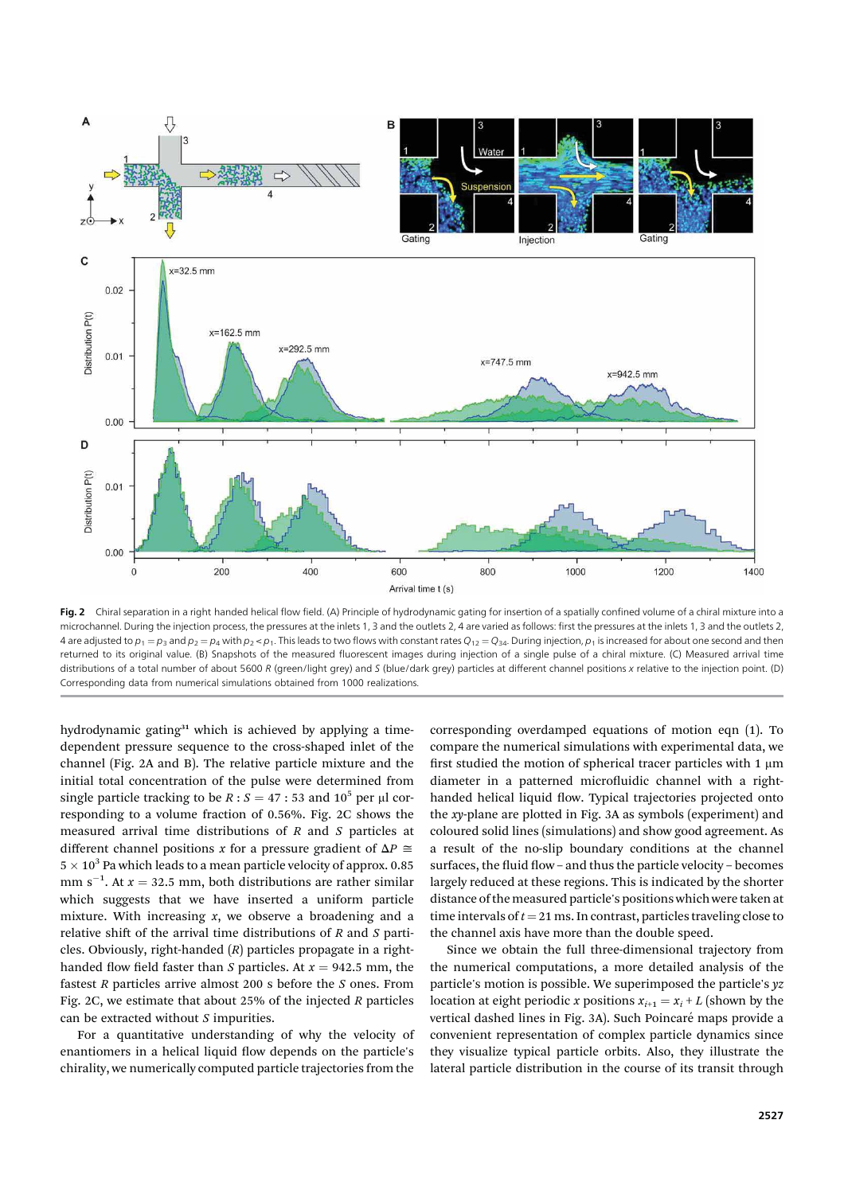

Fig. 2 Chiral separation in a right handed helical flow field. (A) Principle of hydrodynamic gating for insertion of a spatially confined volume of a chiral mixture into a microchannel. During the injection process, the pressures at the inlets 1, 3 and the outlets 2, 4 are varied as follows: first the pressures at the inlets 1, 3 and the outlets 2. 4 are adjusted to  $p_1 = p_3$  and  $p_2 = p_4$  with  $p_2 < p_1$ . This leads to two flows with constant rates  $Q_{12} = Q_{34}$ . During injection,  $p_1$  is increased for about one second and then returned to its original value. (B) Snapshots of the measured fluorescent images during injection of a single pulse of a chiral mixture. (C) Measured arrival time distributions of a total number of about 5600 R (green/light grey) and S (blue/dark grey) particles at different channel positions x relative to the injection point. (D) Corresponding data from numerical simulations obtained from 1000 realizations.

hydrodynamic gating $31$  which is achieved by applying a timedependent pressure sequence to the cross-shaped inlet of the channel (Fig. 2A and B). The relative particle mixture and the initial total concentration of the pulse were determined from single particle tracking to be  $R : S = 47 : 53$  and  $10^5$  per µl corresponding to a volume fraction of 0.56%. Fig. 2C shows the measured arrival time distributions of R and S particles at different channel positions x for a pressure gradient of  $\Delta P \cong$  $5\times 10^3$  Pa which leads to a mean particle velocity of approx.  $0.85$ mm  $s^{-1}$ . At  $x = 32.5$  mm, both distributions are rather similar which suggests that we have inserted a uniform particle mixture. With increasing  $x$ , we observe a broadening and a relative shift of the arrival time distributions of  $R$  and  $S$  particles. Obviously, right-handed  $(R)$  particles propagate in a righthanded flow field faster than S particles. At  $x = 942.5$  mm, the fastest  $R$  particles arrive almost 200 s before the  $S$  ones. From Fig. 2C, we estimate that about 25% of the injected  $R$  particles can be extracted without  $S$  impurities.

For a quantitative understanding of why the velocity of enantiomers in a helical liquid flow depends on the particle's chirality, we numerically computed particle trajectories from the

corresponding overdamped equations of motion eqn (1). To compare the numerical simulations with experimental data, we first studied the motion of spherical tracer particles with 1  $\mu$ m diameter in a patterned microfluidic channel with a righthanded helical liquid flow. Typical trajectories projected onto the xy-plane are plotted in Fig. 3A as symbols (experiment) and coloured solid lines (simulations) and show good agreement. As a result of the no-slip boundary conditions at the channel surfaces, the fluid flow – and thus the particle velocity – becomes largely reduced at these regions. This is indicated by the shorter distance of the measured particle's positions which were taken at time intervals of  $t = 21$  ms. In contrast, particles traveling close to the channel axis have more than the double speed.

Since we obtain the full three-dimensional trajectory from the numerical computations, a more detailed analysis of the particle's motion is possible. We superimposed the particle's yz location at eight periodic x positions  $x_{i+1} = x_i + L$  (shown by the vertical dashed lines in Fig. 3A). Such Poincaré maps provide a convenient representation of complex particle dynamics since they visualize typical particle orbits. Also, they illustrate the lateral particle distribution in the course of its transit through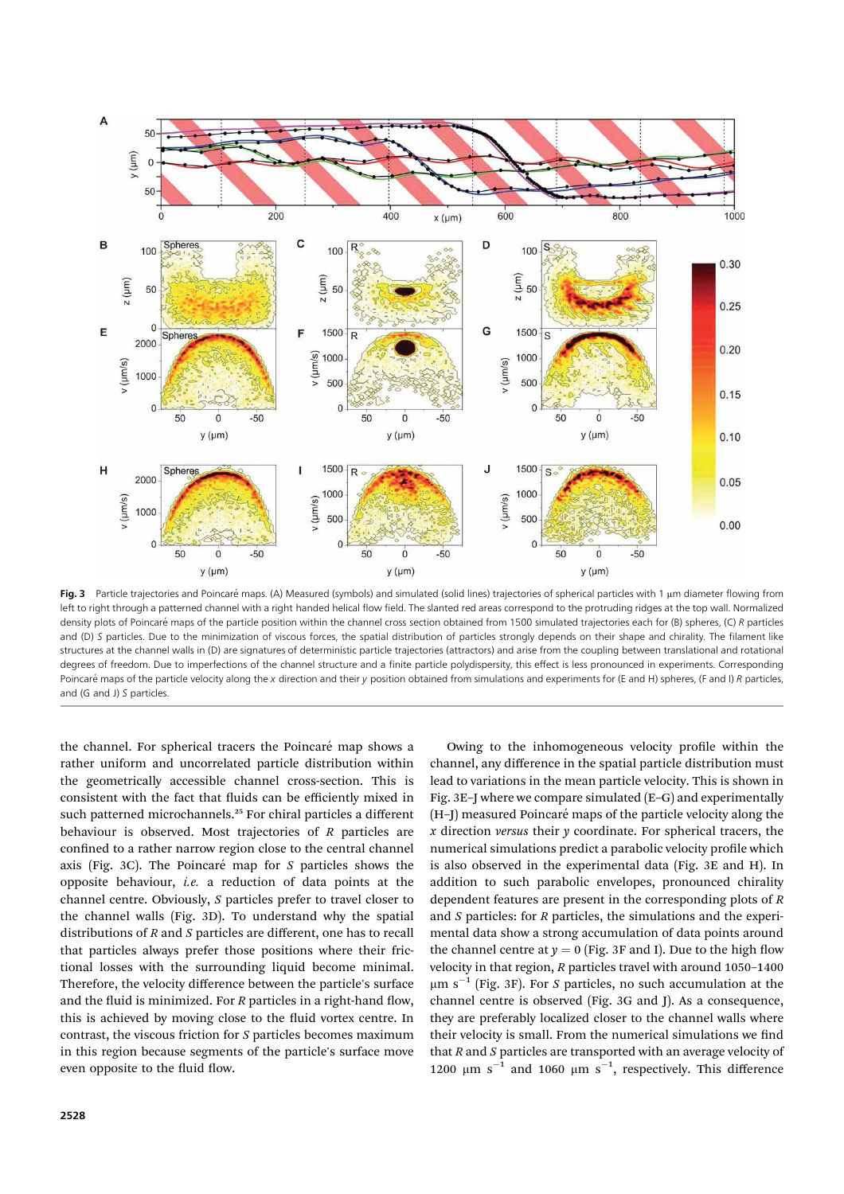

Fig. 3 Particle trajectories and Poincaré maps. (A) Measured (symbols) and simulated (solid lines) trajectories of spherical particles with 1 um diameter flowing from left to right through a patterned channel with a right handed helical flow field. The slanted red areas correspond to the protruding ridges at the top wall. Normalized density plots of Poincaré maps of the particle position within the channel cross section obtained from 1500 simulated trajectories each for (B) spheres, (C) R particles and (D) S particles. Due to the minimization of viscous forces, the spatial distribution of particles strongly depends on their shape and chirality. The filament like structures at the channel walls in (D) are signatures of deterministic particle trajectories (attractors) and arise from the coupling between translational and rotational degrees of freedom. Due to imperfections of the channel structure and a finite particle polydispersity, this effect is less pronounced in experiments. Corresponding Poincaré maps of the particle velocity along the x direction and their y position obtained from simulations and experiments for (E and H) spheres, (F and I) R particles, and (G and J) S particles.

the channel. For spherical tracers the Poincaré map shows a rather uniform and uncorrelated particle distribution within the geometrically accessible channel cross-section. This is consistent with the fact that fluids can be efficiently mixed in such patterned microchannels.<sup>25</sup> For chiral particles a different behaviour is observed. Most trajectories of R particles are confined to a rather narrow region close to the central channel axis (Fig. 3C). The Poincaré map for  $S$  particles shows the opposite behaviour, i.e. a reduction of data points at the channel centre. Obviously, S particles prefer to travel closer to the channel walls (Fig. 3D). To understand why the spatial distributions of R and S particles are different, one has to recall that particles always prefer those positions where their frictional losses with the surrounding liquid become minimal. Therefore, the velocity difference between the particle's surface and the fluid is minimized. For  $R$  particles in a right-hand flow, this is achieved by moving close to the fluid vortex centre. In contrast, the viscous friction for S particles becomes maximum in this region because segments of the particle's surface move even opposite to the fluid flow.

Owing to the inhomogeneous velocity profile within the channel, any difference in the spatial particle distribution must lead to variations in the mean particle velocity. This is shown in Fig. 3E–J where we compare simulated (E–G) and experimentally (H-J) measured Poincaré maps of the particle velocity along the x direction versus their  $\nu$  coordinate. For spherical tracers, the numerical simulations predict a parabolic velocity profile which is also observed in the experimental data (Fig. 3E and H). In addition to such parabolic envelopes, pronounced chirality dependent features are present in the corresponding plots of  $R$ and S particles: for R particles, the simulations and the experimental data show a strong accumulation of data points around the channel centre at  $y = 0$  (Fig. 3F and I). Due to the high flow velocity in that region, R particles travel with around 1050–1400  $\mu$ m s<sup>-1</sup> (Fig. 3F). For S particles, no such accumulation at the channel centre is observed (Fig. 3G and J). As a consequence, they are preferably localized closer to the channel walls where their velocity is small. From the numerical simulations we find that  $R$  and  $S$  particles are transported with an average velocity of 1200  $\mu$ m s<sup>-1</sup> and 1060  $\mu$ m s<sup>-1</sup>, respectively. This difference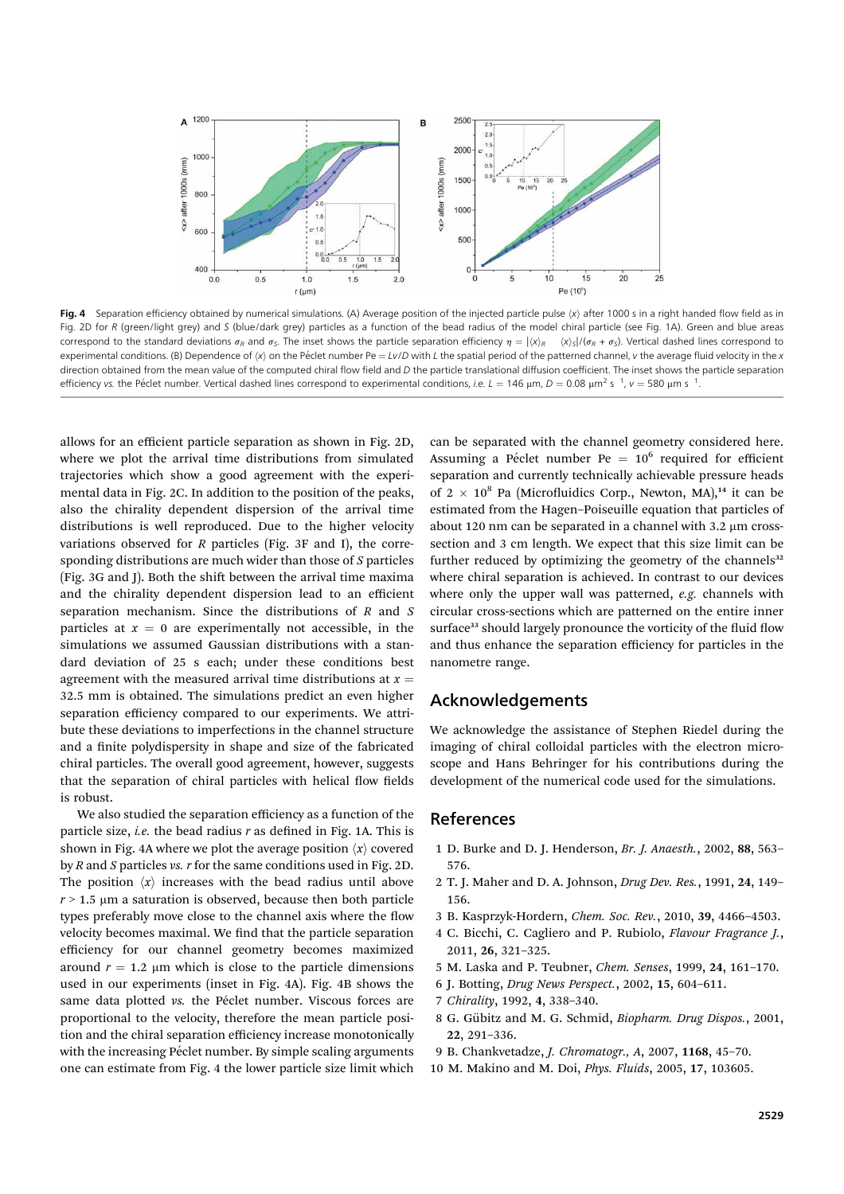

Fig. 4 Separation efficiency obtained by numerical simulations. (A) Average position of the injected particle pulse  $\langle x \rangle$  after 1000 s in a right handed flow field as in Fig. 2D for R (green/light grey) and S (blue/dark grey) particles as a function of the bead radius of the model chiral particle (see Fig. 1A). Green and blue areas correspond to the standard deviations  $\sigma_R$  and  $\sigma_S$ . The inset shows the particle separation efficiency  $\eta = |\langle x \rangle_R \langle x \rangle_S|/(\sigma_R + \sigma_S)$ . Vertical dashed lines correspond to experimental conditions. (B) Dependence of  $\langle x \rangle$  on the Péclet number Pe =  $Iv/D$  with L the spatial period of the patterned channel, v the average fluid velocity in the x direction obtained from the mean value of the computed chiral flow field and  $D$  the particle translational diffusion coefficient. The inset shows the particle separation efficiency vs. the Péclet number. Vertical dashed lines correspond to experimental conditions, *i.e. L* = 146 µm, D = 0.08 µm<sup>2</sup> s <sup>-1</sup>, v = 580 µm s <sup>-1</sup>.

allows for an efficient particle separation as shown in Fig. 2D, where we plot the arrival time distributions from simulated trajectories which show a good agreement with the experimental data in Fig. 2C. In addition to the position of the peaks, also the chirality dependent dispersion of the arrival time distributions is well reproduced. Due to the higher velocity variations observed for  $R$  particles (Fig. 3F and I), the corresponding distributions are much wider than those of S particles (Fig. 3G and J). Both the shift between the arrival time maxima and the chirality dependent dispersion lead to an efficient separation mechanism. Since the distributions of R and S particles at  $x = 0$  are experimentally not accessible, in the simulations we assumed Gaussian distributions with a standard deviation of 25 s each; under these conditions best agreement with the measured arrival time distributions at  $x =$ 32.5 mm is obtained. The simulations predict an even higher separation efficiency compared to our experiments. We attribute these deviations to imperfections in the channel structure and a finite polydispersity in shape and size of the fabricated chiral particles. The overall good agreement, however, suggests that the separation of chiral particles with helical flow fields is robust.

We also studied the separation efficiency as a function of the particle size, *i.e.* the bead radius  $r$  as defined in Fig. 1A. This is shown in Fig. 4A where we plot the average position  $\langle x \rangle$  covered by  $R$  and  $S$  particles vs.  $r$  for the same conditions used in Fig. 2D. The position  $\langle x \rangle$  increases with the bead radius until above  $r > 1.5$  µm a saturation is observed, because then both particle types preferably move close to the channel axis where the flow velocity becomes maximal. We find that the particle separation efficiency for our channel geometry becomes maximized around  $r = 1.2 \mu m$  which is close to the particle dimensions used in our experiments (inset in Fig. 4A). Fig. 4B shows the same data plotted vs. the Péclet number. Viscous forces are proportional to the velocity, therefore the mean particle position and the chiral separation efficiency increase monotonically with the increasing Péclet number. By simple scaling arguments one can estimate from Fig. 4 the lower particle size limit which

can be separated with the channel geometry considered here. Assuming a Péclet number Pe =  $10^6$  required for efficient separation and currently technically achievable pressure heads of 2  $\times$  10<sup>8</sup> Pa (Microfluidics Corp., Newton, MA),<sup>14</sup> it can be estimated from the Hagen–Poiseuille equation that particles of about 120 nm can be separated in a channel with  $3.2 \mu m$  crosssection and 3 cm length. We expect that this size limit can be further reduced by optimizing the geometry of the channels $32$ where chiral separation is achieved. In contrast to our devices where only the upper wall was patterned,  $e.g.$  channels with circular cross-sections which are patterned on the entire inner surface<sup>33</sup> should largely pronounce the vorticity of the fluid flow and thus enhance the separation efficiency for particles in the nanometre range.

#### Acknowledgements

We acknowledge the assistance of Stephen Riedel during the imaging of chiral colloidal particles with the electron microscope and Hans Behringer for his contributions during the development of the numerical code used for the simulations.

#### References

- 1 D. Burke and D. J. Henderson, Br. J. Anaesth., 2002, 88, 563– 576.
- 2 T. J. Maher and D. A. Johnson, Drug Dev. Res., 1991, 24, 149– 156.
- 3 B. Kasprzyk-Hordern, Chem. Soc. Rev., 2010, 39, 4466–4503.
- 4 C. Bicchi, C. Cagliero and P. Rubiolo, Flavour Fragrance J., 2011, 26, 321–325.
- 5 M. Laska and P. Teubner, Chem. Senses, 1999, 24, 161–170.
- 6 J. Botting, Drug News Perspect., 2002, 15, 604–611.
- 7 Chirality, 1992, 4, 338–340.
- 8 G. Gübitz and M. G. Schmid, Biopharm. Drug Dispos., 2001, 22, 291–336.
- 9 B. Chankvetadze, J. Chromatogr., A, 2007, 1168, 45–70.
- 10 M. Makino and M. Doi, Phys. Fluids, 2005, 17, 103605.